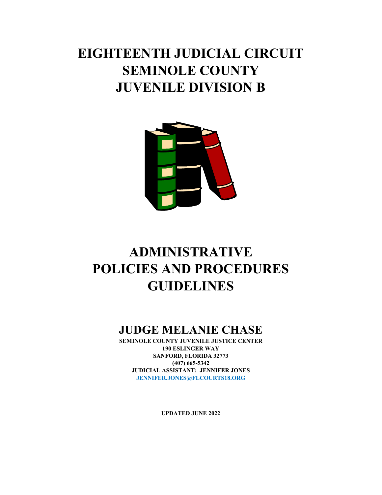# **EIGHTEENTH JUDICIAL CIRCUIT SEMINOLE COUNTY JUVENILE DIVISION B**



# **ADMINISTRATIVE POLICIES AND PROCEDURES GUIDELINES**

## **JUDGE MELANIE CHASE**

**SEMINOLE COUNTY JUVENILE JUSTICE CENTER 190 ESLINGER WAY SANFORD, FLORIDA 32773 (407) 665-5342 JUDICIAL ASSISTANT: JENNIFER JONES JENNIFER.JONES@FLCOURTS18.ORG**

**UPDATED JUNE 2022**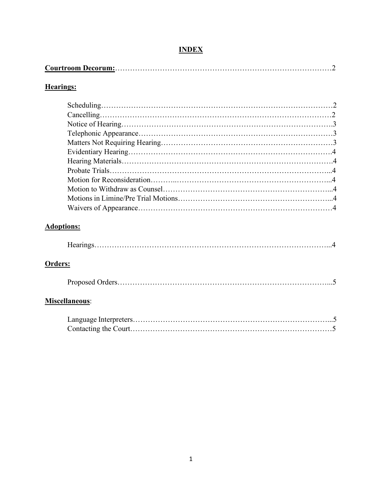### **INDEX**

|--|

### **Hearings:**

### **Adoptions:**

| -- |  |
|----|--|
|----|--|

### **Orders:**

|--|

### **Miscellaneous**: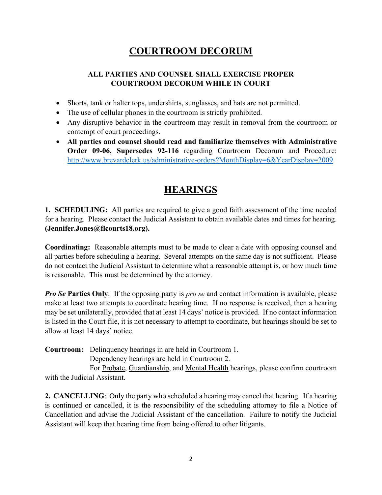## **COURTROOM DECORUM**

#### **ALL PARTIES AND COUNSEL SHALL EXERCISE PROPER COURTROOM DECORUM WHILE IN COURT**

- Shorts, tank or halter tops, undershirts, sunglasses, and hats are not permitted.
- The use of cellular phones in the courtroom is strictly prohibited.
- Any disruptive behavior in the courtroom may result in removal from the courtroom or contempt of court proceedings.
- **All parties and counsel should read and familiarize themselves with Administrative Order 09-06, Supersedes 92-116** regarding Courtroom Decorum and Procedure: [http://www.brevardclerk.us/administrative-orders?MonthDisplay=6&YearDisplay=2009.](http://www.brevardclerk.us/administrative-orders?MonthDisplay=6&YearDisplay=2009)

### **HEARINGS**

**1. SCHEDULING:** All parties are required to give a good faith assessment of the time needed for a hearing. Please contact the Judicial Assistant to obtain available dates and times for hearing. **(Jennifer.Jones@flcourts18.org).**

**Coordinating:** Reasonable attempts must to be made to clear a date with opposing counsel and all parties before scheduling a hearing. Several attempts on the same day is not sufficient. Please do not contact the Judicial Assistant to determine what a reasonable attempt is, or how much time is reasonable. This must be determined by the attorney.

*Pro Se* **Parties Only**: If the opposing party is *pro se* and contact information is available, please make at least two attempts to coordinate hearing time. If no response is received, then a hearing may be set unilaterally, provided that at least 14 days' notice is provided. If no contact information is listed in the Court file, it is not necessary to attempt to coordinate, but hearings should be set to allow at least 14 days' notice.

**Courtroom:** Delinquency hearings in are held in Courtroom 1.

Dependency hearings are held in Courtroom 2.

For Probate, Guardianship, and Mental Health hearings, please confirm courtroom with the Judicial Assistant.

**2. CANCELLING**: Only the party who scheduled a hearing may cancel that hearing. If a hearing is continued or cancelled, it is the responsibility of the scheduling attorney to file a Notice of Cancellation and advise the Judicial Assistant of the cancellation. Failure to notify the Judicial Assistant will keep that hearing time from being offered to other litigants.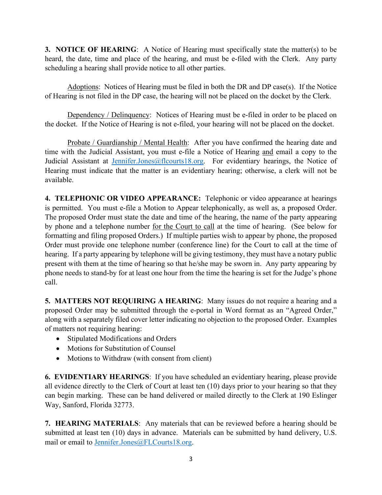**3. NOTICE OF HEARING:** A Notice of Hearing must specifically state the matter(s) to be heard, the date, time and place of the hearing, and must be e-filed with the Clerk. Any party scheduling a hearing shall provide notice to all other parties.

Adoptions: Notices of Hearing must be filed in both the DR and DP case(s). If the Notice of Hearing is not filed in the DP case, the hearing will not be placed on the docket by the Clerk.

Dependency / Delinquency: Notices of Hearing must be e-filed in order to be placed on the docket. If the Notice of Hearing is not e-filed, your hearing will not be placed on the docket.

Probate / Guardianship / Mental Health: After you have confirmed the hearing date and time with the Judicial Assistant, you must e-file a Notice of Hearing and email a copy to the Judicial Assistant at [Jennifer.Jones@flcourts18.org.](mailto:Jennifer.Jones@flcourts18.org) For evidentiary hearings, the Notice of Hearing must indicate that the matter is an evidentiary hearing; otherwise, a clerk will not be available.

**4. TELEPHONIC OR VIDEO APPEARANCE:** Telephonic or video appearance at hearings is permitted. You must e-file a Motion to Appear telephonically, as well as, a proposed Order. The proposed Order must state the date and time of the hearing, the name of the party appearing by phone and a telephone number for the Court to call at the time of hearing. (See below for formatting and filing proposed Orders.) If multiple parties wish to appear by phone, the proposed Order must provide one telephone number (conference line) for the Court to call at the time of hearing. If a party appearing by telephone will be giving testimony, they must have a notary public present with them at the time of hearing so that he/she may be sworn in. Any party appearing by phone needs to stand-by for at least one hour from the time the hearing is set for the Judge's phone call.

**5. MATTERS NOT REQUIRING A HEARING**: Many issues do not require a hearing and a proposed Order may be submitted through the e-portal in Word format as an "Agreed Order," along with a separately filed cover letter indicating no objection to the proposed Order. Examples of matters not requiring hearing:

- Stipulated Modifications and Orders
- Motions for Substitution of Counsel
- Motions to Withdraw (with consent from client)

**6. EVIDENTIARY HEARINGS**: If you have scheduled an evidentiary hearing, please provide all evidence directly to the Clerk of Court at least ten (10) days prior to your hearing so that they can begin marking. These can be hand delivered or mailed directly to the Clerk at 190 Eslinger Way, Sanford, Florida 32773.

**7. HEARING MATERIALS**: Any materials that can be reviewed before a hearing should be submitted at least ten (10) days in advance. Materials can be submitted by hand delivery, U.S. mail or email to [Jennifer.Jones@FLCourts18.org.](mailto:Jennifer.Jones@FLCourts18.org)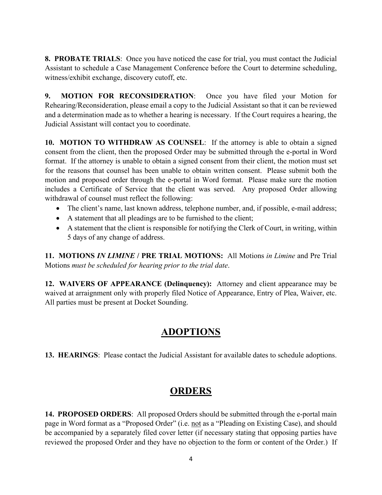**8. PROBATE TRIALS**: Once you have noticed the case for trial, you must contact the Judicial Assistant to schedule a Case Management Conference before the Court to determine scheduling, witness/exhibit exchange, discovery cutoff, etc.

**9. MOTION FOR RECONSIDERATION**: Once you have filed your Motion for Rehearing/Reconsideration, please email a copy to the Judicial Assistant so that it can be reviewed and a determination made as to whether a hearing is necessary. If the Court requires a hearing, the Judicial Assistant will contact you to coordinate.

**10. MOTION TO WITHDRAW AS COUNSEL**: If the attorney is able to obtain a signed consent from the client, then the proposed Order may be submitted through the e-portal in Word format. If the attorney is unable to obtain a signed consent from their client, the motion must set for the reasons that counsel has been unable to obtain written consent. Please submit both the motion and proposed order through the e-portal in Word format. Please make sure the motion includes a Certificate of Service that the client was served. Any proposed Order allowing withdrawal of counsel must reflect the following:

- The client's name, last known address, telephone number, and, if possible, e-mail address;
- A statement that all pleadings are to be furnished to the client;
- A statement that the client is responsible for notifying the Clerk of Court, in writing, within 5 days of any change of address.

**11. MOTIONS** *IN LIMINE* **/ PRE TRIAL MOTIONS:** All Motions *in Limine* and Pre Trial Motions *must be scheduled for hearing prior to the trial date*.

**12. WAIVERS OF APPEARANCE (Delinquency):** Attorney and client appearance may be waived at arraignment only with properly filed Notice of Appearance, Entry of Plea, Waiver, etc. All parties must be present at Docket Sounding.

### **ADOPTIONS**

**13. HEARINGS**: Please contact the Judicial Assistant for available dates to schedule adoptions.

## **ORDERS**

**14. PROPOSED ORDERS**: All proposed Orders should be submitted through the e-portal main page in Word format as a "Proposed Order" (i.e. not as a "Pleading on Existing Case), and should be accompanied by a separately filed cover letter (if necessary stating that opposing parties have reviewed the proposed Order and they have no objection to the form or content of the Order.) If